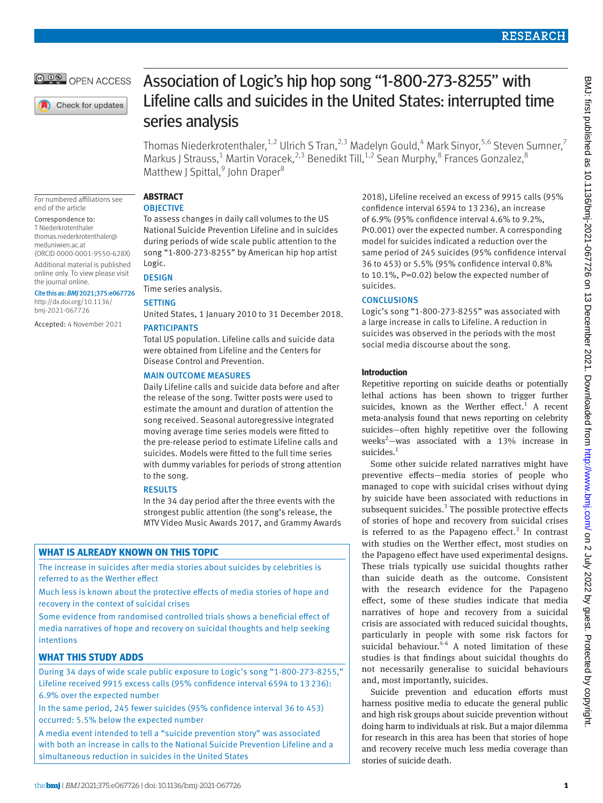

Check for updates

For numbered affiliations see

(ORCID [0000-0001-9550-628X\)](https://orcid.org/0000-0001-9550-628X) Additional material is published online only. To view please visit

Cite this as: *BMJ* 2021;375:e067726 [http://dx.doi.org/10.1136/](http://dx.doi.org/10.1136/bmj-2021-066768)  [bmj-2021-067726](http://dx.doi.org/10.1136/bmj-2021-066768)

Accepted: 4 November 2021

end of the article Correspondence to: T Niederkrotenthaler [thomas.niederkrotenthaler@](mailto:thomas.niederkrotenthaler@meduniwien.ac.at) [meduniwien.ac.at](mailto:thomas.niederkrotenthaler@meduniwien.ac.at)

the journal online.

# Association of Logic's hip hop song "1-800-273-8255" with Lifeline calls and suicides in the United States: interrupted time series analysis

Thomas Niederkrotenthaler,  $^{1,2}$  Ulrich S Tran,  $^{2,3}$  Madelyn Gould,  $^{4}$  Mark Sinyor,  $^{5,6}$  Steven Sumner,  $^{7}$ Markus J Strauss,<sup>1</sup> Martin Voracek,<sup>2,3</sup> Benedikt Till,<sup>1,2</sup> Sean Murphy,<sup>8</sup> Frances Gonzalez,<sup>8</sup> Matthew J Spittal,<sup>9</sup> John Draper<sup>8</sup>

#### **ABSTRACT OBIECTIVE**

To assess changes in daily call volumes to the US National Suicide Prevention Lifeline and in suicides during periods of wide scale public attention to the song "1-800-273-8255" by American hip hop artist Logic.

# **DESIGN**

Time series analysis.

# **SETTING**

United States, 1 January 2010 to 31 December 2018.

# PARTICIPANTS

Total US population. Lifeline calls and suicide data were obtained from Lifeline and the Centers for Disease Control and Prevention.

# MAIN OUTCOME MEASURES

Daily Lifeline calls and suicide data before and after the release of the song. Twitter posts were used to estimate the amount and duration of attention the song received. Seasonal autoregressive integrated moving average time series models were fitted to the pre-release period to estimate Lifeline calls and suicides. Models were fitted to the full time series with dummy variables for periods of strong attention to the song.

## RESULTS

In the 34 day period after the three events with the strongest public attention (the song's release, the MTV Video Music Awards 2017, and Grammy Awards

# **WHAT IS ALREADY KNOWN ON THIS TOPIC**

The increase in suicides after media stories about suicides by celebrities is referred to as the Werther effect

Much less is known about the protective effects of media stories of hope and recovery in the context of suicidal crises

Some evidence from randomised controlled trials shows a beneficial effect of media narratives of hope and recovery on suicidal thoughts and help seeking intentions

# **WHAT THIS STUDY ADDS**

During 34 days of wide scale public exposure to Logic's song "1-800-273-8255," Lifeline received 9915 excess calls (95% confidence interval 6594 to 13 236): 6.9% over the expected number

In the same period, 245 fewer suicides (95% confidence interval 36 to 453) occurred: 5.5% below the expected number

A media event intended to tell a "suicide prevention story" was associated with both an increase in calls to the National Suicide Prevention Lifeline and a simultaneous reduction in suicides in the United States

2018), Lifeline received an excess of 9915 calls (95% confidence interval 6594 to 13236), an increase of 6.9% (95% confidence interval 4.6% to 9.2%, P<0.001) over the expected number. A corresponding model for suicides indicated a reduction over the same period of 245 suicides (95% confidence interval 36 to 453) or 5.5% (95% confidence interval 0.8% to 10.1%, P=0.02) below the expected number of suicides.

# **CONCLUSIONS**

Logic's song "1-800-273-8255" was associated with a large increase in calls to Lifeline. A reduction in suicides was observed in the periods with the most social media discourse about the song.

# **Introduction**

Repetitive reporting on suicide deaths or potentially lethal actions has been shown to trigger further suicides, known as the Werther effect.<sup>1</sup> A recent meta-analysis found that news reporting on celebrity suicides—often highly repetitive over the following weeks<sup>2</sup>—was associated with a 13% increase in suicides. $<sup>1</sup>$ </sup>

Some other suicide related narratives might have preventive effects—media stories of people who managed to cope with suicidal crises without dying by suicide have been associated with reductions in subsequent suicides.<sup>3</sup> The possible protective effects of stories of hope and recovery from suicidal crises is referred to as the Papageno effect. $3$  In contrast with studies on the Werther effect, most studies on the Papageno effect have used experimental designs. These trials typically use suicidal thoughts rather than suicide death as the outcome. Consistent with the research evidence for the Papageno effect, some of these studies indicate that media narratives of hope and recovery from a suicidal crisis are associated with reduced suicidal thoughts, particularly in people with some risk factors for suicidal behaviour. $4-6$  A noted limitation of these studies is that findings about suicidal thoughts do not necessarily generalise to suicidal behaviours and, most importantly, suicides.

Suicide prevention and education efforts must harness positive media to educate the general public and high risk groups about suicide prevention without doing harm to individuals at risk. But a major dilemma for research in this area has been that stories of hope and recovery receive much less media coverage than stories of suicide death.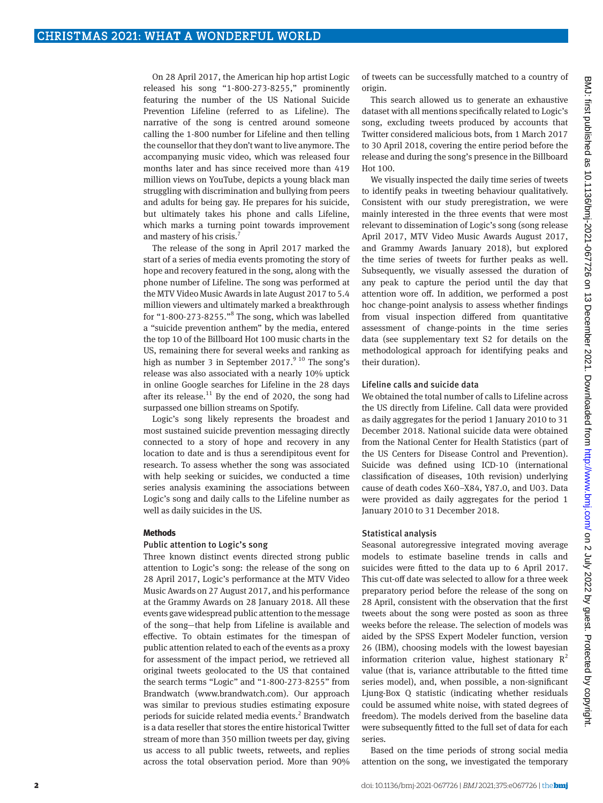On 28 April 2017, the American hip hop artist Logic released his song "1-800-273-8255," prominently featuring the number of the US National Suicide Prevention Lifeline (referred to as Lifeline). The narrative of the song is centred around someone calling the 1-800 number for Lifeline and then telling the counsellor that they don't want to live anymore. The accompanying music video, which was released four months later and has since received more than 419 million views on YouTube, depicts a young black man struggling with discrimination and bullying from peers and adults for being gay. He prepares for his suicide, but ultimately takes his phone and calls Lifeline, which marks a turning point towards improvement and mastery of his crisis.<sup>7</sup>

The release of the song in April 2017 marked the start of a series of media events promoting the story of hope and recovery featured in the song, along with the phone number of Lifeline. The song was performed at the MTV Video Music Awards in late August 2017 to 5.4 million viewers and ultimately marked a breakthrough for "1-800-273-8255."<sup>8</sup> The song, which was labelled a "suicide prevention anthem" by the media, entered the top 10 of the Billboard Hot 100 music charts in the US, remaining there for several weeks and ranking as high as number 3 in September 2017. $9^{10}$  The song's release was also associated with a nearly 10% uptick in online Google searches for Lifeline in the 28 days after its release. $11$  By the end of 2020, the song had surpassed one billion streams on Spotify.

Logic's song likely represents the broadest and most sustained suicide prevention messaging directly connected to a story of hope and recovery in any location to date and is thus a serendipitous event for research. To assess whether the song was associated with help seeking or suicides, we conducted a time series analysis examining the associations between Logic's song and daily calls to the Lifeline number as well as daily suicides in the US.

#### **Methods**

#### Public attention to Logic's song

Three known distinct events directed strong public attention to Logic's song: the release of the song on 28 April 2017, Logic's performance at the MTV Video Music Awards on 27 August 2017, and his performance at the Grammy Awards on 28 January 2018. All these events gave widespread public attention to the message of the song—that help from Lifeline is available and effective. To obtain estimates for the timespan of public attention related to each of the events as a proxy for assessment of the impact period, we retrieved all original tweets geolocated to the US that contained the search terms "Logic" and "1-800-273-8255" from Brandwatch ([www.brandwatch.com\)](http://www.brandwatch.com). Our approach was similar to previous studies estimating exposure periods for suicide related media events.<sup>2</sup> Brandwatch is a data reseller that stores the entire historical Twitter stream of more than 350 million tweets per day, giving us access to all public tweets, retweets, and replies across the total observation period. More than 90%

of tweets can be successfully matched to a country of origin.

This search allowed us to generate an exhaustive dataset with all mentions specifically related to Logic's song, excluding tweets produced by accounts that Twitter considered malicious bots, from 1 March 2017 to 30 April 2018, covering the entire period before the release and during the song's presence in the Billboard Hot 100.

We visually inspected the daily time series of tweets to identify peaks in tweeting behaviour qualitatively. Consistent with our study preregistration, we were mainly interested in the three events that were most relevant to dissemination of Logic's song (song release April 2017, MTV Video Music Awards August 2017, and Grammy Awards January 2018), but explored the time series of tweets for further peaks as well. Subsequently, we visually assessed the duration of any peak to capture the period until the day that attention wore off. In addition, we performed a post hoc change-point analysis to assess whether findings from visual inspection differed from quantitative assessment of change-points in the time series data (see supplementary text S2 for details on the methodological approach for identifying peaks and their duration).

### Lifeline calls and suicide data

We obtained the total number of calls to Lifeline across the US directly from Lifeline. Call data were provided as daily aggregates for the period 1 January 2010 to 31 December 2018. National suicide data were obtained from the National Center for Health Statistics (part of the US Centers for Disease Control and Prevention). Suicide was defined using ICD-10 (international classification of diseases, 10th revision) underlying cause of death codes X60–X84, Y87.0, and U03. Data were provided as daily aggregates for the period 1 January 2010 to 31 December 2018.

#### Statistical analysis

Seasonal autoregressive integrated moving average models to estimate baseline trends in calls and suicides were fitted to the data up to 6 April 2017. This cut-off date was selected to allow for a three week preparatory period before the release of the song on 28 April, consistent with the observation that the first tweets about the song were posted as soon as three weeks before the release. The selection of models was aided by the SPSS Expert Modeler function, version 26 (IBM), choosing models with the lowest bayesian information criterion value, highest stationary  $R^2$ value (that is, variance attributable to the fitted time series model), and, when possible, a non-significant Ljung-Box Q statistic (indicating whether residuals could be assumed white noise, with stated degrees of freedom). The models derived from the baseline data were subsequently fitted to the full set of data for each series.

Based on the time periods of strong social media attention on the song, we investigated the temporary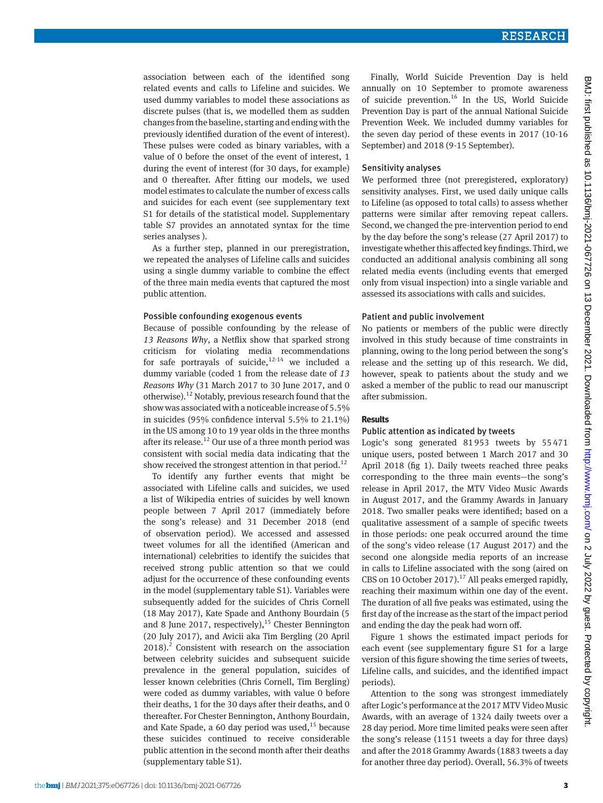association between each of the identified song related events and calls to Lifeline and suicides. We used dummy variables to model these associations as discrete pulses (that is, we modelled them as sudden changes from the baseline, starting and ending with the previously identified duration of the event of interest). These pulses were coded as binary variables, with a value of 0 before the onset of the event of interest, 1 during the event of interest (for 30 days, for example) and 0 thereafter. After fitting our models, we used model estimates to calculate the number of excess calls and suicides for each event (see supplementary text S1 for details of the statistical model. Supplementary table S7 provides an annotated syntax for the time series analyses ).

As a further step, planned in our preregistration, we repeated the analyses of Lifeline calls and suicides using a single dummy variable to combine the effect of the three main media events that captured the most public attention.

#### Possible confounding exogenous events

Because of possible confounding by the release of *13 Reasons Why*, a Netflix show that sparked strong criticism for violating media recommendations for safe portrayals of suicide, $12-14$  we included a dummy variable (coded 1 from the release date of *13 Reasons Why* (31 March 2017 to 30 June 2017, and 0 otherwise).<sup>12</sup> Notably, previous research found that the show was associated with a noticeable increase of 5.5% in suicides (95% confidence interval 5.5% to 21.1%) in the US among 10 to 19 year olds in the three months after its release.<sup>12</sup> Our use of a three month period was consistent with social media data indicating that the show received the strongest attention in that period.<sup>12</sup>

To identify any further events that might be associated with Lifeline calls and suicides, we used a list of Wikipedia entries of suicides by well known people between 7 April 2017 (immediately before the song's release) and 31 December 2018 (end of observation period). We accessed and assessed tweet volumes for all the identified (American and international) celebrities to identify the suicides that received strong public attention so that we could adjust for the occurrence of these confounding events in the model (supplementary table S1). Variables were subsequently added for the suicides of Chris Cornell (18 May 2017), Kate Spade and Anthony Bourdain (5 and 8 June 2017, respectively), $15$  Chester Bennington (20 July 2017), and Avicii aka Tim Bergling (20 April 2018).<sup>2</sup> Consistent with research on the association between celebrity suicides and subsequent suicide prevalence in the general population, suicides of lesser known celebrities (Chris Cornell, Tim Bergling) were coded as dummy variables, with value 0 before their deaths, 1 for the 30 days after their deaths, and 0 thereafter. For Chester Bennington, Anthony Bourdain, and Kate Spade, a 60 day period was used, $^{15}$  because these suicides continued to receive considerable public attention in the second month after their deaths (supplementary table S1).

Finally, World Suicide Prevention Day is held annually on 10 September to promote awareness of suicide prevention.<sup>16</sup> In the US, World Suicide Prevention Day is part of the annual National Suicide Prevention Week. We included dummy variables for the seven day period of these events in 2017 (10-16 September) and 2018 (9-15 September).

## Sensitivity analyses

We performed three (not preregistered, exploratory) sensitivity analyses. First, we used daily unique calls to Lifeline (as opposed to total calls) to assess whether patterns were similar after removing repeat callers. Second, we changed the pre-intervention period to end by the day before the song's release (27 April 2017) to investigate whether this affected key findings. Third, we conducted an additional analysis combining all song related media events (including events that emerged only from visual inspection) into a single variable and assessed its associations with calls and suicides.

## Patient and public involvement

No patients or members of the public were directly involved in this study because of time constraints in planning, owing to the long period between the song's release and the setting up of this research. We did, however, speak to patients about the study and we asked a member of the public to read our manuscript after submission.

## **Results**

## Public attention as indicated by tweets

Logic's song generated 81953 tweets by 55471 unique users, posted between 1 March 2017 and 30 April 2018 (fig 1). Daily tweets reached three peaks corresponding to the three main events—the song's release in April 2017, the MTV Video Music Awards in August 2017, and the Grammy Awards in January 2018. Two smaller peaks were identified; based on a qualitative assessment of a sample of specific tweets in those periods: one peak occurred around the time of the song's video release (17 August 2017) and the second one alongside media reports of an increase in calls to Lifeline associated with the song (aired on CBS on 10 October 2017).<sup>17</sup> All peaks emerged rapidly, reaching their maximum within one day of the event. The duration of all five peaks was estimated, using the first day of the increase as the start of the impact period and ending the day the peak had worn off.

Figure 1 shows the estimated impact periods for each event (see supplementary figure S1 for a large version of this figure showing the time series of tweets, Lifeline calls, and suicides, and the identified impact periods).

Attention to the song was strongest immediately after Logic's performance at the 2017 MTV Video Music Awards, with an average of 1324 daily tweets over a 28 day period. More time limited peaks were seen after the song's release (1151 tweets a day for three days) and after the 2018 Grammy Awards (1883 tweets a day for another three day period). Overall, 56.3% of tweets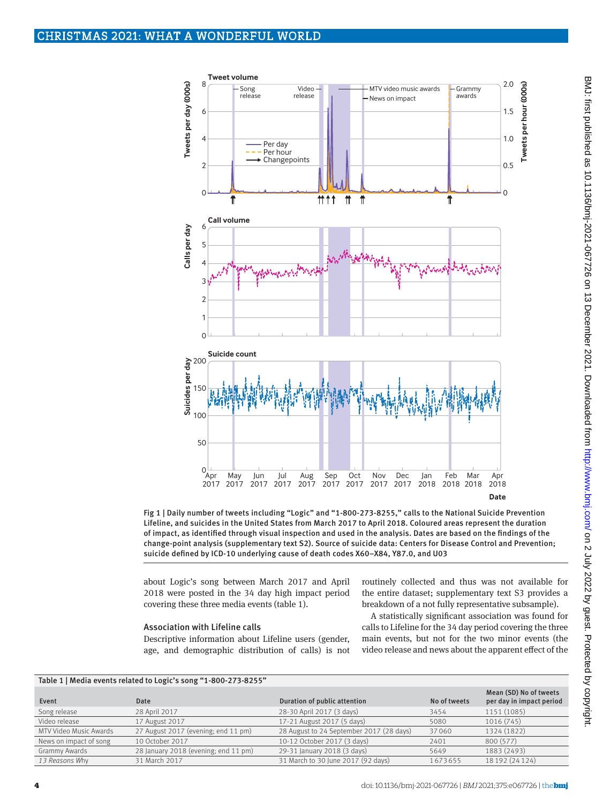

Fig 1 | Daily number of tweets including "Logic" and "1-800-273-8255," calls to the National Suicide Prevention Lifeline, and suicides in the United States from March 2017 to April 2018. Coloured areas represent the duration of impact, as identified through visual inspection and used in the analysis. Dates are based on the findings of the change-point analysis (supplementary text S2). Source of suicide data: Centers for Disease Control and Prevention; suicide defined by ICD-10 underlying cause of death codes X60–X84, Y87.0, and U03

about Logic's song between March 2017 and April 2018 were posted in the 34 day high impact period covering these three media events (table 1).

## Association with Lifeline calls

Descriptive information about Lifeline users (gender, age, and demographic distribution of calls) is not routinely collected and thus was not available for the entire dataset; supplementary text S3 provides a breakdown of a not fully representative subsample).

A statistically significant association was found for calls to Lifeline for the 34 day period covering the three main events, but not for the two minor events (the video release and news about the apparent effect of the

| Table 1   Media events related to Logic's song "1-800-273-8255" |                                      |                                          |              |                                                    |  |  |  |  |
|-----------------------------------------------------------------|--------------------------------------|------------------------------------------|--------------|----------------------------------------------------|--|--|--|--|
| Event                                                           | Date                                 | Duration of public attention             | No of tweets | Mean (SD) No of tweets<br>per day in impact period |  |  |  |  |
| Song release                                                    | 28 April 2017                        | 28-30 April 2017 (3 days)                | 3454         | 1151 (1085)                                        |  |  |  |  |
| Video release                                                   | 17 August 2017                       | 17-21 August 2017 (5 days)               | 5080         | 1016 (745)                                         |  |  |  |  |
| MTV Video Music Awards                                          | 27 August 2017 (evening; end 11 pm)  | 28 August to 24 September 2017 (28 days) | 37060        | 1324 (1822)                                        |  |  |  |  |
| News on impact of song                                          | 10 October 2017                      | 10-12 October 2017 (3 days)              | 2401         | 800 (577)                                          |  |  |  |  |
| Grammy Awards                                                   | 28 January 2018 (evening; end 11 pm) | 29-31 January 2018 (3 days)              | 5649         | 1883 (2493)                                        |  |  |  |  |
| 13 Reasons Why                                                  | 31 March 2017                        | 31 March to 30 June 2017 (92 days)       | 1673655      | 18 192 (24 124)                                    |  |  |  |  |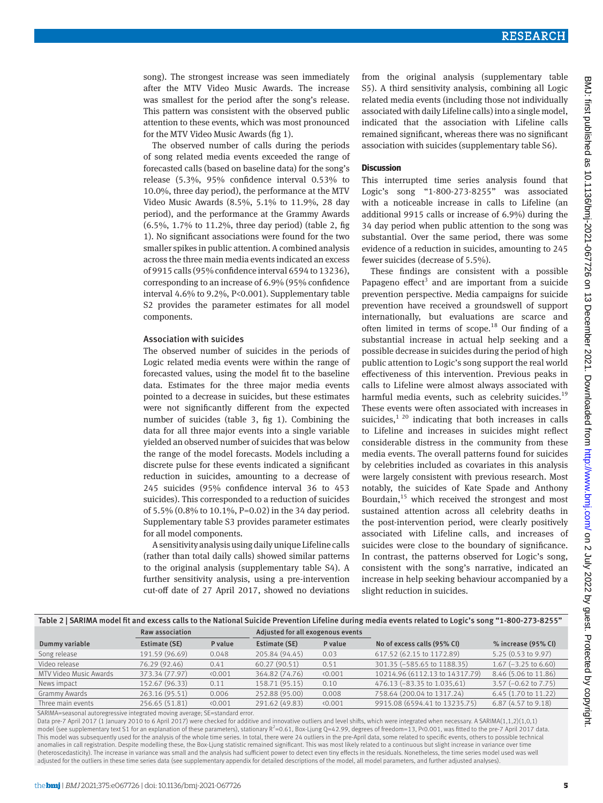song). The strongest increase was seen immediately after the MTV Video Music Awards. The increase was smallest for the period after the song's release. This pattern was consistent with the observed public attention to these events, which was most pronounced for the MTV Video Music Awards (fig 1).

The observed number of calls during the periods of song related media events exceeded the range of forecasted calls (based on baseline data) for the song's release (5.3%, 95% confidence interval 0.53% to 10.0%, three day period), the performance at the MTV Video Music Awards (8.5%, 5.1% to 11.9%, 28 day period), and the performance at the Grammy Awards (6.5%, 1.7% to 11.2%, three day period) (table 2, fig 1). No significant associations were found for the two smaller spikes in public attention. A combined analysis across the three main media events indicated an excess of 9915 calls (95% confidence interval 6594 to 13236), corresponding to an increase of 6.9% (95% confidence interval 4.6% to 9.2%, P<0.001). Supplementary table S2 provides the parameter estimates for all model components.

## Association with suicides

The observed number of suicides in the periods of Logic related media events were within the range of forecasted values, using the model fit to the baseline data. Estimates for the three major media events pointed to a decrease in suicides, but these estimates were not significantly different from the expected number of suicides (table 3, fig 1). Combining the data for all three major events into a single variable yielded an observed number of suicides that was below the range of the model forecasts. Models including a discrete pulse for these events indicated a significant reduction in suicides, amounting to a decrease of 245 suicides (95% confidence interval 36 to 453 suicides). This corresponded to a reduction of suicides of 5.5% (0.8% to 10.1%, P=0.02) in the 34 day period. Supplementary table S3 provides parameter estimates for all model components.

A sensitivity analysis using daily unique Lifeline calls (rather than total daily calls) showed similar patterns to the original analysis (supplementary table S4). A further sensitivity analysis, using a pre-intervention cut-off date of 27 April 2017, showed no deviations from the original analysis (supplementary table S5). A third sensitivity analysis, combining all Logic related media events (including those not individually associated with daily Lifeline calls) into a single model, indicated that the association with Lifeline calls remained significant, whereas there was no significant association with suicides (supplementary table S6).

## **Discussion**

This interrupted time series analysis found that Logic's song "1-800-273-8255" was associated with a noticeable increase in calls to Lifeline (an additional 9915 calls or increase of 6.9%) during the 34 day period when public attention to the song was substantial. Over the same period, there was some evidence of a reduction in suicides, amounting to 245 fewer suicides (decrease of 5.5%).

These findings are consistent with a possible Papageno effect<sup>3</sup> and are important from a suicide prevention perspective. Media campaigns for suicide prevention have received a groundswell of support internationally, but evaluations are scarce and often limited in terms of scope.<sup>18</sup> Our finding of a substantial increase in actual help seeking and a possible decrease in suicides during the period of high public attention to Logic's song support the real world effectiveness of this intervention. Previous peaks in calls to Lifeline were almost always associated with harmful media events, such as celebrity suicides. $19$ These events were often associated with increases in suicides, $1^{20}$  indicating that both increases in calls to Lifeline and increases in suicides might reflect considerable distress in the community from these media events. The overall patterns found for suicides by celebrities included as covariates in this analysis were largely consistent with previous research. Most notably, the suicides of Kate Spade and Anthony Bourdain, $15$  which received the strongest and most sustained attention across all celebrity deaths in the post-intervention period, were clearly positively associated with Lifeline calls, and increases of suicides were close to the boundary of significance. In contrast, the patterns observed for Logic's song, consistent with the song's narrative, indicated an increase in help seeking behaviour accompanied by a slight reduction in suicides.

| Table 2   SARIMA model fit and excess calls to the National Suicide Prevention Lifeline during media events related to Logic's song "1-800-273-8255" |                 |         |                                   |         |                                |                        |  |  |
|------------------------------------------------------------------------------------------------------------------------------------------------------|-----------------|---------|-----------------------------------|---------|--------------------------------|------------------------|--|--|
|                                                                                                                                                      | Raw association |         | Adjusted for all exogenous events |         |                                |                        |  |  |
| Dummy variable                                                                                                                                       | Estimate (SE)   | P value | Estimate (SE)                     | P value | No of excess calls (95% CI)    | % increase (95% CI)    |  |  |
| Song release                                                                                                                                         | 191.59 (96.69)  | 0.048   | 205.84 (94.45)                    | 0.03    | 617.52 (62.15 to 1172.89)      | 5.25 (0.53 to 9.97)    |  |  |
| Video release                                                                                                                                        | 76.29 (92.46)   | 0.41    | 60.27 (90.51)                     | 0.51    | 301.35 (-585.65 to 1188.35)    | $1.67$ (-3.25 to 6.60) |  |  |
| MTV Video Music Awards                                                                                                                               | 373.34 (77.97)  | (0.001) | 364.82 (74.76)                    | (0.001) | 10214.96 (6112.13 to 14317.79) | 8.46 (5.06 to 11.86)   |  |  |
| News impact                                                                                                                                          | 152.67 (96.33)  | 0.11    | 158.71 (95.15)                    | 0.10    | 476.13 (-83.35 to 1.035,61)    | $3.57$ (-0.62 to 7.75) |  |  |
| Grammy Awards                                                                                                                                        | 263.16 (95.51)  | 0.006   | 252.88 (95.00)                    | 0.008   | 758.64 (200.04 to 1317.24)     | 6.45 (1.70 to 11.22)   |  |  |
| Three main events                                                                                                                                    | 256.65 (51.81)  | 0.001   | 291.62 (49.83)                    | 0.001   | 9915.08 (6594.41 to 13235.75)  | 6.87 (4.57 to 9.18)    |  |  |

SARIMA=seasonal autoregressive integrated moving average; SE=standard error.

Data pre-7 April 2017 (1 January 2010 to 6 April 2017) were checked for additive and innovative outliers and level shifts, which were integrated when necessary. A SARIMA(1,1,2)(1,0,1) model (see supplementary text S1 for an explanation of these parameters), stationary R<sup>2</sup>=0.61, Box-Ljung Q=42.99, degrees of freedom=13, P<0.001, was fitted to the pre-7 April 2017 data. This model was subsequently used for the analysis of the whole time series. In total, there were 24 outliers in the pre-April data, some related to specific events, others to possible technical anomalies in call registration. Despite modelling these, the Box-Ljung statistic remained significant. This was most likely related to a continuous but slight increase in variance over time (heteroscedasticity). The increase in variance was small and the analysis had sufficient power to detect even tiny effects in the residuals. Nonetheless, the time series model used was well adjusted for the outliers in these time series data (see supplementary appendix for detailed descriptions of the model, all model parameters, and further adjusted analyses).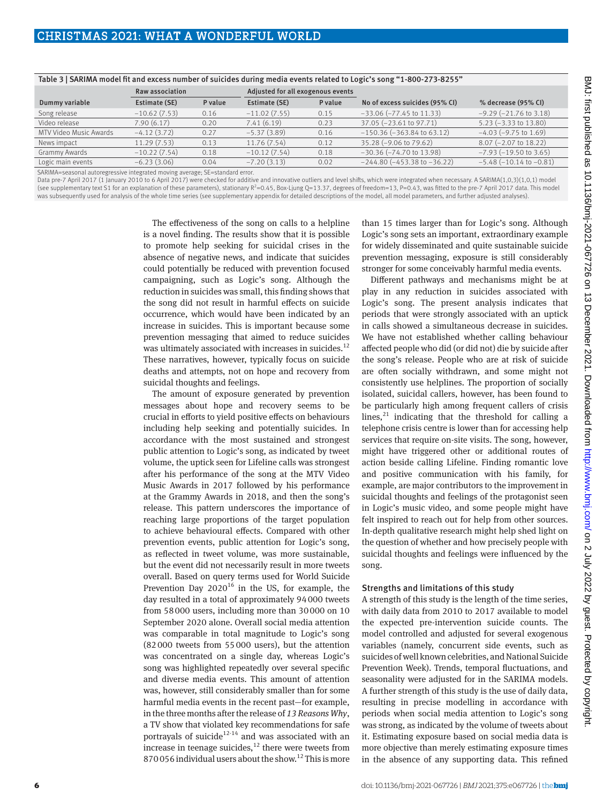|                        | Raw association |         | Adjusted for all exogenous events |         |                                       |                                 |
|------------------------|-----------------|---------|-----------------------------------|---------|---------------------------------------|---------------------------------|
| Dummy variable         | Estimate (SE)   | P value | Estimate (SE)                     | P value | No of excess suicides (95% CI)        | % decrease (95% CI)             |
| Song release           | $-10.62(7.53)$  | 0.16    | $-11.02(7.55)$                    | 0.15    | $-33.06$ $(-77.45$ to 11.33)          | $-9.29$ ( $-21.76$ to 3.18)     |
| Video release          | 7.90(6.17)      | 0.20    | 7.41(6.19)                        | 0.23    | 37.05 (-23.61 to 97.71)               | $5.23 (-3.33 to 13.80)$         |
| MTV Video Music Awards | $-4.12(3.72)$   | 0.27    | $-5.37(3.89)$                     | 0.16    | $-150.36 (-363.84 \text{ to } 63.12)$ | $-4.03$ ( $-9.75$ to 1.69)      |
| News impact            | 11.29(7.53)     | 0.13    | 11.76 (7.54)                      | 0.12    | $35.28 (-9.06 to 79.62)$              | $8.07$ (-2.07 to 18.22)         |
| Grammy Awards          | $-10.22(7.54)$  | 0.18    | $-10.12(7.54)$                    | 0.18    | $-30.36$ ( $-74.70$ to 13.98)         | $-7.93$ ( $-19.50$ to 3.65)     |
| Logic main events      | $-6.23(3.06)$   | 0.04    | $-7.20(3.13)$                     | 0.02    | $-244.80 (-453.38 to -36.22)$         | $-5.48$ ( $-10.14$ to $-0.81$ ) |

## Table 3 | SARIMA model fit and excess number of suicides during media events related to Logic's song "1-800-273-8255"

SARIMA=seasonal autoregressive integrated moving average; SE=standard error.

Data pre-7 April 2017 (1 January 2010 to 6 April 2017) were checked for additive and innovative outliers and level shifts, which were integrated when necessary. A SARIMA(1,0,3)(1,0,1) model (see supplementary text S1 for an explanation of these parameters), stationary  $R^2 = 0.45$ , Box-Ljung Q=13.37, degrees of freedom=13, P=0.43, was fitted to the pre-7 April 2017 data. This model was subsequently used for analysis of the whole time series (see supplementary appendix for detailed descriptions of the model, all model parameters, and further adjusted analyses).

> The effectiveness of the song on calls to a helpline is a novel finding. The results show that it is possible to promote help seeking for suicidal crises in the absence of negative news, and indicate that suicides could potentially be reduced with prevention focused campaigning, such as Logic's song. Although the reduction in suicides was small, this finding shows that the song did not result in harmful effects on suicide occurrence, which would have been indicated by an increase in suicides. This is important because some prevention messaging that aimed to reduce suicides was ultimately associated with increases in suicides.<sup>12</sup> These narratives, however, typically focus on suicide deaths and attempts, not on hope and recovery from suicidal thoughts and feelings.

The amount of exposure generated by prevention messages about hope and recovery seems to be crucial in efforts to yield positive effects on behaviours including help seeking and potentially suicides. In accordance with the most sustained and strongest public attention to Logic's song, as indicated by tweet volume, the uptick seen for Lifeline calls was strongest after his performance of the song at the MTV Video Music Awards in 2017 followed by his performance at the Grammy Awards in 2018, and then the song's release. This pattern underscores the importance of reaching large proportions of the target population to achieve behavioural effects. Compared with other prevention events, public attention for Logic's song, as reflected in tweet volume, was more sustainable, but the event did not necessarily result in more tweets overall. Based on query terms used for World Suicide Prevention Day  $2020^{16}$  in the US, for example, the day resulted in a total of approximately 94000 tweets from 58000 users, including more than 30000 on 10 September 2020 alone. Overall social media attention was comparable in total magnitude to Logic's song (82000 tweets from 55000 users), but the attention was concentrated on a single day, whereas Logic's song was highlighted repeatedly over several specific and diverse media events. This amount of attention was, however, still considerably smaller than for some harmful media events in the recent past—for example, in the three months after the release of *13 Reasons Why*, a TV show that violated key recommendations for safe portrayals of suicide $12-14$  and was associated with an increase in teenage suicides, $12$  there were tweets from 870056 individual users about the show.12 This is more than 15 times larger than for Logic's song. Although Logic's song sets an important, extraordinary example for widely disseminated and quite sustainable suicide prevention messaging, exposure is still considerably stronger for some conceivably harmful media events.

Different pathways and mechanisms might be at play in any reduction in suicides associated with Logic's song. The present analysis indicates that periods that were strongly associated with an uptick in calls showed a simultaneous decrease in suicides. We have not established whether calling behaviour affected people who did (or did not) die by suicide after the song's release. People who are at risk of suicide are often socially withdrawn, and some might not consistently use helplines. The proportion of socially isolated, suicidal callers, however, has been found to be particularly high among frequent callers of crisis lines, $21$  indicating that the threshold for calling a telephone crisis centre is lower than for accessing help services that require on-site visits. The song, however, might have triggered other or additional routes of action beside calling Lifeline. Finding romantic love and positive communication with his family, for example, are major contributors to the improvement in suicidal thoughts and feelings of the protagonist seen in Logic's music video, and some people might have felt inspired to reach out for help from other sources. In-depth qualitative research might help shed light on the question of whether and how precisely people with suicidal thoughts and feelings were influenced by the song.

## Strengths and limitations of this study

A strength of this study is the length of the time series, with daily data from 2010 to 2017 available to model the expected pre-intervention suicide counts. The model controlled and adjusted for several exogenous variables (namely, concurrent side events, such as suicides of well known celebrities, and National Suicide Prevention Week). Trends, temporal fluctuations, and seasonality were adjusted for in the SARIMA models. A further strength of this study is the use of daily data, resulting in precise modelling in accordance with periods when social media attention to Logic's song was strong, as indicated by the volume of tweets about it. Estimating exposure based on social media data is more objective than merely estimating exposure times in the absence of any supporting data. This refined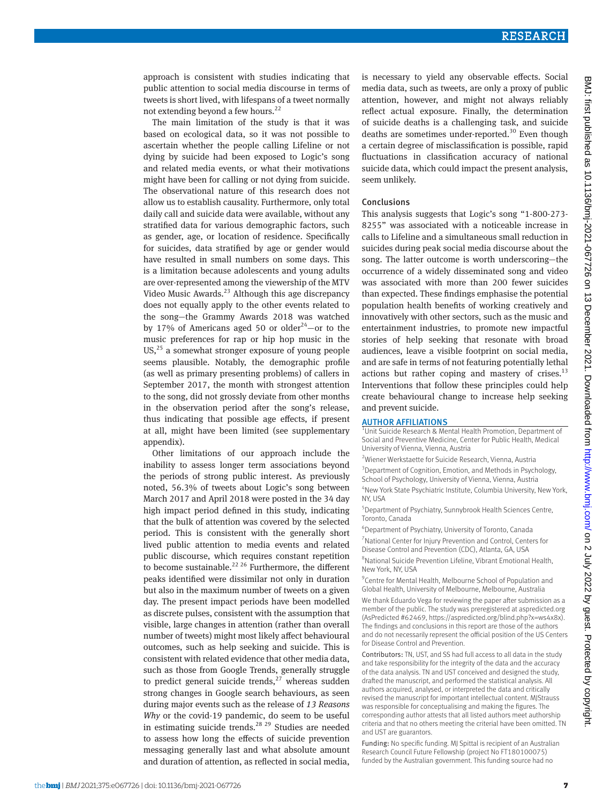approach is consistent with studies indicating that public attention to social media discourse in terms of tweets is short lived, with lifespans of a tweet normally not extending beyond a few hours.<sup>22</sup>

The main limitation of the study is that it was based on ecological data, so it was not possible to ascertain whether the people calling Lifeline or not dying by suicide had been exposed to Logic's song and related media events, or what their motivations might have been for calling or not dying from suicide. The observational nature of this research does not allow us to establish causality. Furthermore, only total daily call and suicide data were available, without any stratified data for various demographic factors, such as gender, age, or location of residence. Specifically for suicides, data stratified by age or gender would have resulted in small numbers on some days. This is a limitation because adolescents and young adults are over-represented among the viewership of the MTV Video Music Awards. $^{23}$  Although this age discrepancy does not equally apply to the other events related to the song—the Grammy Awards 2018 was watched by 17% of Americans aged 50 or older<sup>24</sup>-or to the music preferences for rap or hip hop music in the US, $^{25}$  a somewhat stronger exposure of young people seems plausible. Notably, the demographic profile (as well as primary presenting problems) of callers in September 2017, the month with strongest attention to the song, did not grossly deviate from other months in the observation period after the song's release, thus indicating that possible age effects, if present at all, might have been limited (see supplementary appendix).

Other limitations of our approach include the inability to assess longer term associations beyond the periods of strong public interest. As previously noted, 56.3% of tweets about Logic's song between March 2017 and April 2018 were posted in the 34 day high impact period defined in this study, indicating that the bulk of attention was covered by the selected period. This is consistent with the generally short lived public attention to media events and related public discourse, which requires constant repetition to become sustainable.<sup>22 26</sup> Furthermore, the different peaks identified were dissimilar not only in duration but also in the maximum number of tweets on a given day. The present impact periods have been modelled as discrete pulses, consistent with the assumption that visible, large changes in attention (rather than overall number of tweets) might most likely affect behavioural outcomes, such as help seeking and suicide. This is consistent with related evidence that other media data, such as those from Google Trends, generally struggle to predict general suicide trends, $^{27}$  whereas sudden strong changes in Google search behaviours, as seen during major events such as the release of *13 Reasons Why* or the covid-19 pandemic, do seem to be useful in estimating suicide trends.<sup>28 29</sup> Studies are needed to assess how long the effects of suicide prevention messaging generally last and what absolute amount and duration of attention, as reflected in social media,

is necessary to yield any observable effects. Social media data, such as tweets, are only a proxy of public attention, however, and might not always reliably reflect actual exposure. Finally, the determination of suicide deaths is a challenging task, and suicide deaths are sometimes under-reported.<sup>30</sup> Even though a certain degree of misclassification is possible, rapid fluctuations in classification accuracy of national suicide data, which could impact the present analysis, seem unlikely.

#### Conclusions

This analysis suggests that Logic's song "1-800-273- 8255" was associated with a noticeable increase in calls to Lifeline and a simultaneous small reduction in suicides during peak social media discourse about the song. The latter outcome is worth underscoring—the occurrence of a widely disseminated song and video was associated with more than 200 fewer suicides than expected. These findings emphasise the potential population health benefits of working creatively and innovatively with other sectors, such as the music and entertainment industries, to promote new impactful stories of help seeking that resonate with broad audiences, leave a visible footprint on social media, and are safe in terms of not featuring potentially lethal actions but rather coping and mastery of crises. $^{13}$ Interventions that follow these principles could help create behavioural change to increase help seeking and prevent suicide.

#### AUTHOR AFFILIATIONS

<sup>1</sup>Unit Suicide Research & Mental Health Promotion, Department of Social and Preventive Medicine, Center for Public Health, Medical University of Vienna, Vienna, Austria

2 Wiener Werkstaette for Suicide Research, Vienna, Austria <sup>3</sup> Department of Cognition, Emotion, and Methods in Psychology, School of Psychology, University of Vienna, Vienna, Austria

4 New York State Psychiatric Institute, Columbia University, New York, NY LISA

5 Department of Psychiatry, Sunnybrook Health Sciences Centre, Toronto, Canada

6 Department of Psychiatry, University of Toronto, Canada 7 National Center for Injury Prevention and Control, Centers for Disease Control and Prevention (CDC), Atlanta, GA, USA

8 National Suicide Prevention Lifeline, Vibrant Emotional Health, New York, NY, USA

<sup>9</sup> Centre for Mental Health, Melbourne School of Population and Global Health, University of Melbourne, Melbourne, Australia

We thank Eduardo Vega for reviewing the paper after submission as a member of the public. The study was preregistered at aspredicted.org (AsPredicted #62469, <https://aspredicted.org/blind.php?x=ws4x8x>). The findings and conclusions in this report are those of the authors and do not necessarily represent the official position of the US Centers for Disease Control and Prevention.

Contributors: TN, UST, and SS had full access to all data in the study and take responsibility for the integrity of the data and the accuracy of the data analysis. TN and UST conceived and designed the study, drafted the manuscript, and performed the statistical analysis. All authors acquired, analysed, or interpreted the data and critically revised the manuscript for important intellectual content. MJStrauss was responsible for conceptualising and making the figures. The corresponding author attests that all listed authors meet authorship criteria and that no others meeting the criterial have been omitted. TN and UST are guarantors.

Funding: No specific funding. MJ Spittal is recipient of an Australian Research Council Future Fellowship (project No FT180100075) funded by the Australian government. This funding source had no